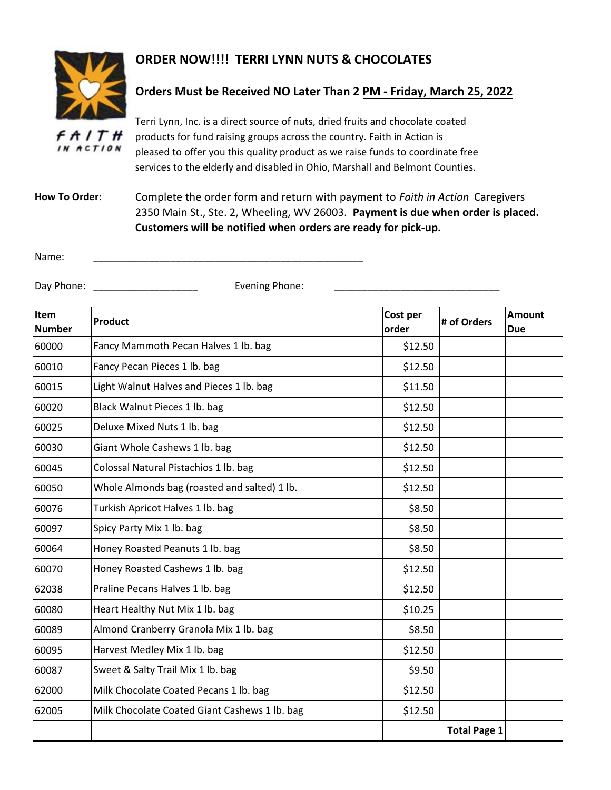

## **ORDER NOW!!!! TERRI LYNN NUTS & CHOCOLATES**

## **Orders Must be Received NO Later Than 2 PM - Friday, March 25, 2022**

Terri Lynn, Inc. is a direct source of nuts, dried fruits and chocolate coated f A I T H products for fund raising groups across the country. Faith in Action is IN ACTION pleased to offer you this quality product as we raise funds to coordinate free services to the elderly and disabled in Ohio, Marshall and Belmont Counties.

**How To Order:**  Complete the order form and return with payment to *Faith in Action* Caregivers 2350 Main St., Ste. 2, Wheeling, WV 26003. **Payment is due when order is placed. Customers will be notified when orders are ready for pick-up.** 

| Name:<br>_____ |  |
|----------------|--|
|                |  |

## Day Phone: \_\_\_\_\_\_\_\_\_\_\_\_\_\_\_\_\_\_\_ Evening Phone: \_\_\_\_\_\_\_\_\_\_\_\_\_\_\_\_\_\_\_\_\_\_\_\_\_\_\_\_\_\_

| <b>Item</b><br><b>Number</b> | Product                                       | Cost per<br>order | # of Orders         | <b>Amount</b><br><b>Due</b> |
|------------------------------|-----------------------------------------------|-------------------|---------------------|-----------------------------|
| 60000                        | Fancy Mammoth Pecan Halves 1 lb. bag          | \$12.50           |                     |                             |
| 60010                        | Fancy Pecan Pieces 1 lb. bag                  | \$12.50           |                     |                             |
| 60015                        | Light Walnut Halves and Pieces 1 lb. bag      | \$11.50           |                     |                             |
| 60020                        | Black Walnut Pieces 1 lb. bag                 | \$12.50           |                     |                             |
| 60025                        | Deluxe Mixed Nuts 1 lb. bag                   | \$12.50           |                     |                             |
| 60030                        | Giant Whole Cashews 1 lb. bag                 | \$12.50           |                     |                             |
| 60045                        | Colossal Natural Pistachios 1 lb. bag         | \$12.50           |                     |                             |
| 60050                        | Whole Almonds bag (roasted and salted) 1 lb.  | \$12.50           |                     |                             |
| 60076                        | Turkish Apricot Halves 1 lb. bag              | \$8.50            |                     |                             |
| 60097                        | Spicy Party Mix 1 lb. bag                     | \$8.50            |                     |                             |
| 60064                        | Honey Roasted Peanuts 1 lb. bag               | \$8.50            |                     |                             |
| 60070                        | Honey Roasted Cashews 1 lb. bag               | \$12.50           |                     |                             |
| 62038                        | Praline Pecans Halves 1 lb. bag               | \$12.50           |                     |                             |
| 60080                        | Heart Healthy Nut Mix 1 lb. bag               | \$10.25           |                     |                             |
| 60089                        | Almond Cranberry Granola Mix 1 lb. bag        | \$8.50            |                     |                             |
| 60095                        | Harvest Medley Mix 1 lb. bag                  | \$12.50           |                     |                             |
| 60087                        | Sweet & Salty Trail Mix 1 lb. bag             | \$9.50            |                     |                             |
| 62000                        | Milk Chocolate Coated Pecans 1 lb. bag        | \$12.50           |                     |                             |
| 62005                        | Milk Chocolate Coated Giant Cashews 1 lb. bag | \$12.50           |                     |                             |
|                              |                                               |                   | <b>Total Page 1</b> |                             |